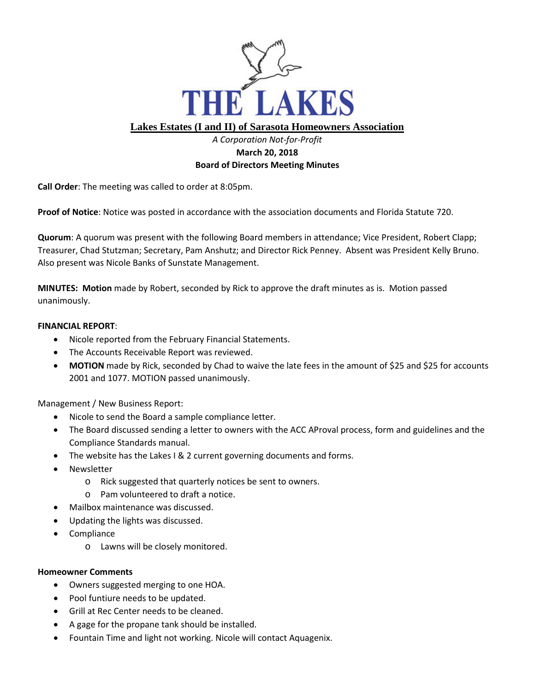

## **Lakes Estates (I and II) of Sarasota Homeowners Association**

## *A Corporation Not-for-Profit* **March 20, 2018 Board of Directors Meeting Minutes**

**Call Order**: The meeting was called to order at 8:05pm.

**Proof of Notice**: Notice was posted in accordance with the association documents and Florida Statute 720.

**Quorum**: A quorum was present with the following Board members in attendance; Vice President, Robert Clapp; Treasurer, Chad Stutzman; Secretary, Pam Anshutz; and Director Rick Penney. Absent was President Kelly Bruno. Also present was Nicole Banks of Sunstate Management.

**MINUTES: Motion** made by Robert, seconded by Rick to approve the draft minutes as is. Motion passed unanimously.

## **FINANCIAL REPORT**:

- Nicole reported from the February Financial Statements.
- The Accounts Receivable Report was reviewed.
- MOTION made by Rick, seconded by Chad to waive the late fees in the amount of \$25 and \$25 for accounts 2001 and 1077. MOTION passed unanimously.

Management / New Business Report:

- Nicole to send the Board a sample compliance letter.
- The Board discussed sending a letter to owners with the ACC AProval process, form and guidelines and the Compliance Standards manual.
- The website has the Lakes I & 2 current governing documents and forms.
- Newsletter
	- o Rick suggested that quarterly notices be sent to owners.
	- o Pam volunteered to draft a notice.
- Mailbox maintenance was discussed.
- Updating the lights was discussed.
- Compliance
	- o Lawns will be closely monitored.

## **Homeowner Comments**

- Owners suggested merging to one HOA.
- Pool funtiure needs to be updated.
- Grill at Rec Center needs to be cleaned.
- A gage for the propane tank should be installed.
- Fountain Time and light not working. Nicole will contact Aquagenix.